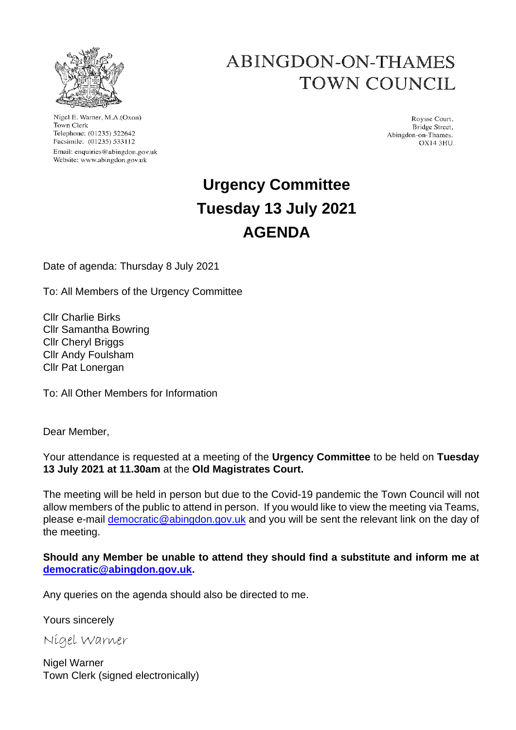

Nigel E. Warner, M.A.(Oxon) Town Clerk Telephone: (01235) 522642 Facsimile: (01235) 533112 Email: enquiries@abingdon.gov.uk Website: www.abingdon.gov.uk

# ABINGDON-ON-THAMES TOWN COUNCIL

Roysse Court, Bridge Street, Abingdon-on-Thames. **OX14 3HU** 

# **Urgency Committee Tuesday 13 July 2021 AGENDA**

Date of agenda: Thursday 8 July 2021

To: All Members of the Urgency Committee

Cllr Charlie Birks Cllr Samantha Bowring Cllr Cheryl Briggs Cllr Andy Foulsham Cllr Pat Lonergan

To: All Other Members for Information

Dear Member,

Your attendance is requested at a meeting of the **Urgency Committee** to be held on **Tuesday 13 July 2021 at 11.30am** at the **Old Magistrates Court.**

The meeting will be held in person but due to the Covid-19 pandemic the Town Council will not allow members of the public to attend in person. If you would like to view the meeting via Teams, please e-mail democratic@abingdon.gov.uk and you will be sent the relevant link on the day of the meeting.

**Should any Member be unable to attend they should find a substitute and inform me at democratic@abingdon.gov.uk.**

Any queries on the agenda should also be directed to me.

Yours sincerely

Nigel Warner

Nigel Warner Town Clerk (signed electronically)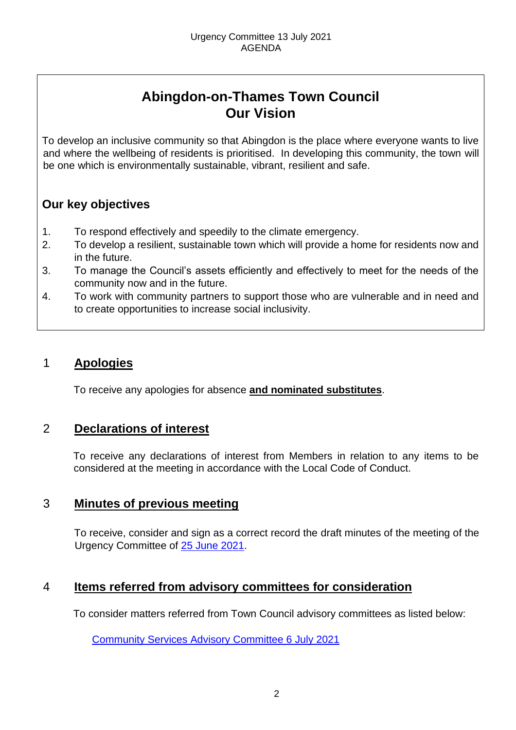# **Abingdon-on-Thames Town Council Our Vision**

To develop an inclusive community so that Abingdon is the place where everyone wants to live and where the wellbeing of residents is prioritised. In developing this community, the town will be one which is environmentally sustainable, vibrant, resilient and safe.

## **Our key objectives**

- 1. To respond effectively and speedily to the climate emergency.
- 2. To develop a resilient, sustainable town which will provide a home for residents now and in the future.
- 3. To manage the Council's assets efficiently and effectively to meet for the needs of the community now and in the future.
- 4. To work with community partners to support those who are vulnerable and in need and to create opportunities to increase social inclusivity.

## 1 **Apologies**

To receive any apologies for absence **and nominated substitutes**.

### 2 **Declarations of interest**

To receive any declarations of interest from Members in relation to any items to be considered at the meeting in accordance with the Local Code of Conduct.

## 3 **Minutes of previous meeting**

To receive, consider and sign as a correct record the draft minutes of the meeting of the Urgency Committee of [25 June 2021.](https://www.abingdon.gov.uk/wp-content/uploads/2021/07/Urgency-Committee-25.6.21-Draft-Minutes.pdf)

## 4 **Items referred from advisory committees for consideration**

To consider matters referred from Town Council advisory committees as listed below:

[Community Services](https://www.abingdon.gov.uk/wp-content/uploads/2021/07/Urgency-Committee-13.7.21-Item-4-Recommendations.pdf) Advisory Committee 6 July 2021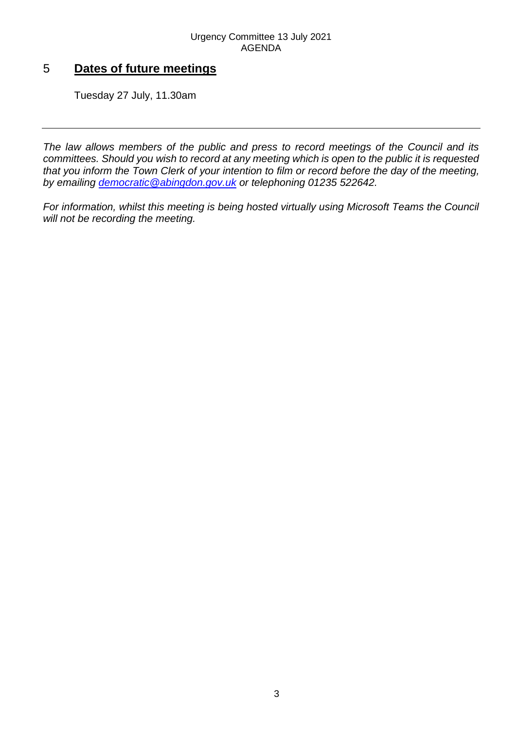# 5 **Dates of future meetings**

Tuesday 27 July, 11.30am

*The law allows members of the public and press to record meetings of the Council and its committees. Should you wish to record at any meeting which is open to the public it is requested that you inform the Town Clerk of your intention to film or record before the day of the meeting, by emailing democratic@abingdon.gov.uk or telephoning 01235 522642.* 

*For information, whilst this meeting is being hosted virtually using Microsoft Teams the Council will not be recording the meeting.*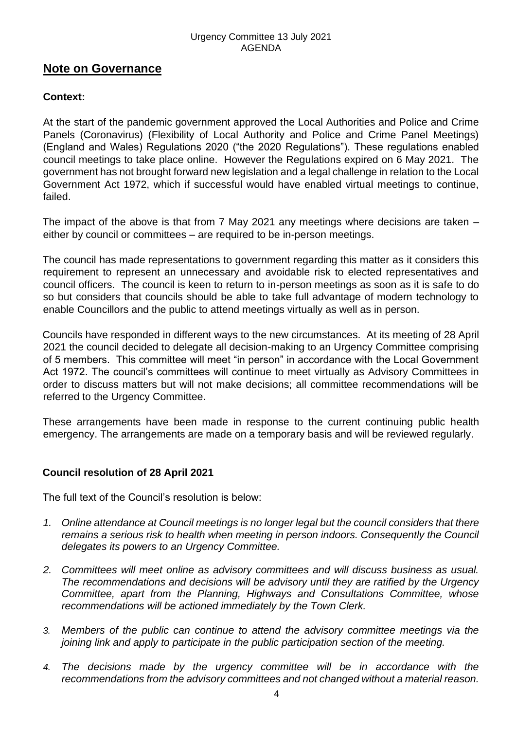#### Urgency Committee 13 July 2021 AGENDA

### **Note on Governance**

#### **Context:**

At the start of the pandemic government approved the Local Authorities and Police and Crime Panels (Coronavirus) (Flexibility of Local Authority and Police and Crime Panel Meetings) (England and Wales) Regulations 2020 ("the 2020 Regulations"). These regulations enabled council meetings to take place online. However the Regulations expired on 6 May 2021. The government has not brought forward new legislation and a legal challenge in relation to the Local Government Act 1972, which if successful would have enabled virtual meetings to continue, failed.

The impact of the above is that from 7 May 2021 any meetings where decisions are taken – either by council or committees – are required to be in-person meetings.

The council has made representations to government regarding this matter as it considers this requirement to represent an unnecessary and avoidable risk to elected representatives and council officers. The council is keen to return to in-person meetings as soon as it is safe to do so but considers that councils should be able to take full advantage of modern technology to enable Councillors and the public to attend meetings virtually as well as in person.

Councils have responded in different ways to the new circumstances. At its meeting of 28 April 2021 the council decided to delegate all decision-making to an Urgency Committee comprising of 5 members. This committee will meet "in person" in accordance with the Local Government Act 1972. The council's committees will continue to meet virtually as Advisory Committees in order to discuss matters but will not make decisions; all committee recommendations will be referred to the Urgency Committee.

These arrangements have been made in response to the current continuing public health emergency. The arrangements are made on a temporary basis and will be reviewed regularly.

#### **Council resolution of 28 April 2021**

The full text of the Council's resolution is below:

- *1. Online attendance at Council meetings is no longer legal but the council considers that there remains a serious risk to health when meeting in person indoors. Consequently the Council delegates its powers to an Urgency Committee.*
- *2. Committees will meet online as advisory committees and will discuss business as usual. The recommendations and decisions will be advisory until they are ratified by the Urgency Committee, apart from the Planning, Highways and Consultations Committee, whose recommendations will be actioned immediately by the Town Clerk.*
- *3. Members of the public can continue to attend the advisory committee meetings via the joining link and apply to participate in the public participation section of the meeting.*
- *4. The decisions made by the urgency committee will be in accordance with the recommendations from the advisory committees and not changed without a material reason.*